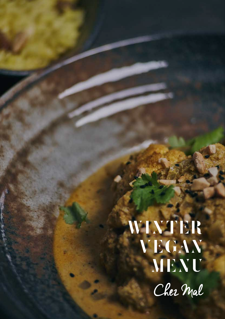## WINTER VEGAN MENU Cher Mal